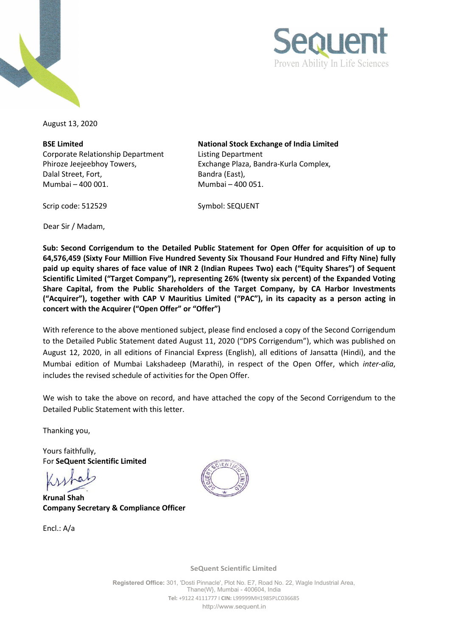



August 13, 2020

**BSE Limited** Corporate Relationship Department Phiroze Jeejeebhoy Towers, Dalal Street, Fort, Mumbai – 400 001. Mumbai – 400 051.

**National Stock Exchange of India Limited** Listing Department Exchange Plaza, Bandra-Kurla Complex, Bandra (East),

Scrip code: 512529 Symbol: SEQUENT

Dear Sir / Madam,

**Sub: Second Corrigendum to the Detailed Public Statement for Open Offer for acquisition of up to 64,576,459 (Sixty Four Million Five Hundred Seventy Six Thousand Four Hundred and Fifty Nine) fully paid up equity shares of face value of INR 2 (Indian Rupees Two) each ("Equity Shares") of Sequent Scientific Limited ("Target Company"), representing 26% (twenty six percent) of the Expanded Voting Share Capital, from the Public Shareholders of the Target Company, by CA Harbor Investments ("Acquirer"), together with CAP V Mauritius Limited ("PAC"), in its capacity as a person acting in concert with the Acquirer ("Open Offer" or "Offer")**

With reference to the above mentioned subject, please find enclosed a copy of the Second Corrigendum to the Detailed Public Statement dated August 11, 2020 ("DPS Corrigendum"), which was published on August 12, 2020, in all editions of Financial Express (English), all editions of Jansatta (Hindi), and the Mumbai edition of Mumbai Lakshadeep (Marathi), in respect of the Open Offer, which *inter-alia*, includes the revised schedule of activities for the Open Offer.

We wish to take the above on record, and have attached the copy of the Second Corrigendum to the Detailed Public Statement with this letter.

Thanking you,

Yours faithfully, For **SeQuent Scientific Limited**

**Krunal Shah Company Secretary & Compliance Officer**

Encl.: A/a



**SeQuent Scientific Limited**

**Registered Office:** 301, 'Dosti Pinnacle', Plot No. E7, Road No. 22, Wagle Industrial Area, Thane(W}, Mumbai - 400604, India **Tel:** +9122 4111777 I **CIN:** L99999MH1985PLC036685 [http://www.sequent.in](http://www.sequent.in/)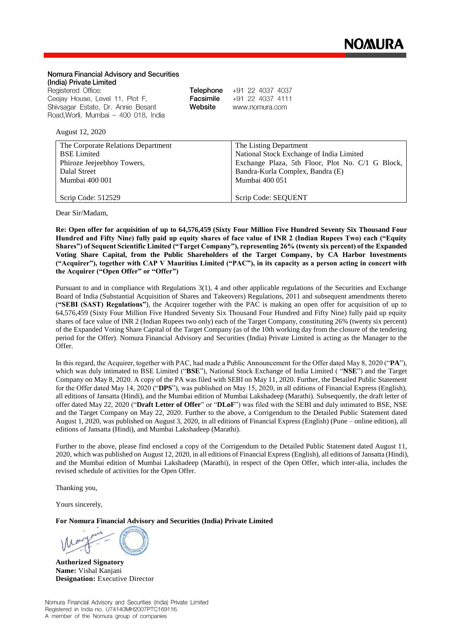## Nomura Financial Advisory and Securities (India) Private Limited Registered Office: Telephone +91 22 4037 4037 Ceejay House, Level 11, Plot F, Facsimile +91 22 4037 4111 Website Shivsagar Estate, Dr. Annie Besant www.nomura.com Road, Worli, Mumbai - 400 018, India August 12, 2020 The Corporate Relations Department The Listing Department BSE Limited National Stock Exchange of India Limited Phiroze Jeejeebhoy Towers, Exchange Plaza, 5th Floor, Plot No. C/1 G Block, Dalal Street Bandra-Kurla Complex, Bandra (E) Mumbai 400 001 Mumbai 400 051

Scrip Code: 512529

Dear Sir/Madam,

**Re: Open offer for acquisition of up to 64,576,459 (Sixty Four Million Five Hundred Seventy Six Thousand Four Hundred and Fifty Nine) fully paid up equity shares of face value of INR 2 (Indian Rupees Two) each ("Equity Shares") of Sequent Scientific Limited ("Target Company"), representing 26% (twenty six percent) of the Expanded Voting Share Capital, from the Public Shareholders of the Target Company, by CA Harbor Investments ("Acquirer"), together with CAP V Mauritius Limited ("PAC"), in its capacity as a person acting in concert with the Acquirer ("Open Offer" or "Offer")**

Scrip Code: SEQUENT

Pursuant to and in compliance with Regulations 3(1), 4 and other applicable regulations of the Securities and Exchange Board of India (Substantial Acquisition of Shares and Takeovers) Regulations, 2011 and subsequent amendments thereto (**"SEBI (SAST) Regulations"**), the Acquirer together with the PAC is making an open offer for acquisition of up to 64,576,459 (Sixty Four Million Five Hundred Seventy Six Thousand Four Hundred and Fifty Nine) fully paid up equity shares of face value of INR 2 (Indian Rupees two only) each of the Target Company, constituting 26% (twenty six percent) of the Expanded Voting Share Capital of the Target Company (as of the 10th working day from the closure of the tendering period for the Offer). Nomura Financial Advisory and Securities (India) Private Limited is acting as the Manager to the Offer.

In this regard, the Acquirer, together with PAC, had made a Public Announcement for the Offer dated May 8, 2020 ("**PA**"), which was duly intimated to BSE Limited ("**BSE**"), National Stock Exchange of India Limited ( "**NSE**") and the Target Company on May 8, 2020. A copy of the PA was filed with SEBI on May 11, 2020. Further, the Detailed Public Statement for the Offer dated May 14, 2020 ("**DPS**"), was published on May 15, 2020, in all editions of Financial Express (English), all editions of Jansatta (Hindi), and the Mumbai edition of Mumbai Lakshadeep (Marathi). Subsequently, the draft letter of offer dated May 22, 2020 ("**Draft Letter of Offer**" or "**DLoF**") was filed with the SEBI and duly intimated to BSE, NSE and the Target Company on May 22, 2020. Further to the above, a Corrigendum to the Detailed Public Statement dated August 1, 2020, was published on August 3, 2020, in all editions of Financial Express (English) (Pune – online edition), all editions of Jansatta (Hindi), and Mumbai Lakshadeep (Marathi).

Further to the above, please find enclosed a copy of the Corrigendum to the Detailed Public Statement dated August 11, 2020, which was published on August 12, 2020, in all editions of Financial Express (English), all editions of Jansatta (Hindi), and the Mumbai edition of Mumbai Lakshadeep (Marathi), in respect of the Open Offer, which inter-alia, includes the revised schedule of activities for the Open Offer.

Thanking you,

Yours sincerely,

**For Nomura Financial Advisory and Securities (India) Private Limited**

**Authorized Signatory Name:** Vishal Kanjani **Designation:** Executive Director